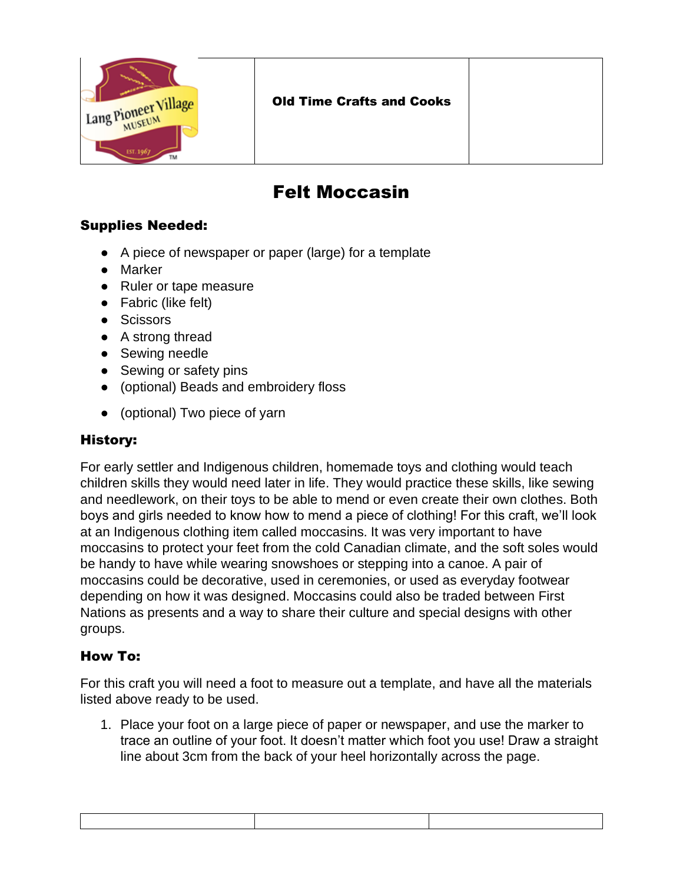

## Felt Moccasin

## Supplies Needed:

- A piece of newspaper or paper (large) for a template
- Marker
- Ruler or tape measure
- Fabric (like felt)
- Scissors
- A strong thread
- Sewing needle
- Sewing or safety pins
- (optional) Beads and embroidery floss
- (optional) Two piece of yarn

## History:

For early settler and Indigenous children, homemade toys and clothing would teach children skills they would need later in life. They would practice these skills, like sewing and needlework, on their toys to be able to mend or even create their own clothes. Both boys and girls needed to know how to mend a piece of clothing! For this craft, we'll look at an Indigenous clothing item called moccasins. It was very important to have moccasins to protect your feet from the cold Canadian climate, and the soft soles would be handy to have while wearing snowshoes or stepping into a canoe. A pair of moccasins could be decorative, used in ceremonies, or used as everyday footwear depending on how it was designed. Moccasins could also be traded between First Nations as presents and a way to share their culture and special designs with other groups.

## How To:

For this craft you will need a foot to measure out a template, and have all the materials listed above ready to be used.

1. Place your foot on a large piece of paper or newspaper, and use the marker to trace an outline of your foot. It doesn't matter which foot you use! Draw a straight line about 3cm from the back of your heel horizontally across the page.